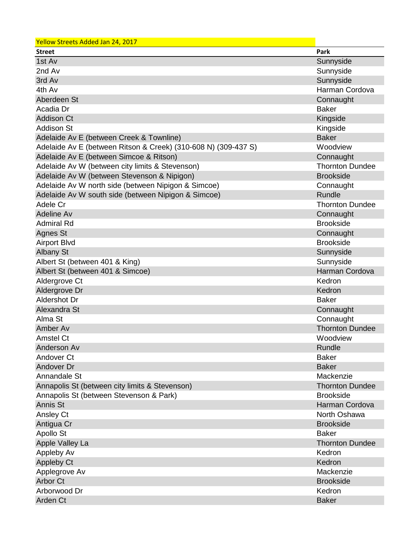| Yellow Streets Added Jan 24, 2017                              |                        |
|----------------------------------------------------------------|------------------------|
| <b>Street</b>                                                  | Park                   |
| 1st Av                                                         | Sunnyside              |
| 2nd Av                                                         | Sunnyside              |
| 3rd Av                                                         | Sunnyside              |
| 4th Av                                                         | Harman Cordova         |
| Aberdeen St                                                    | Connaught              |
| Acadia Dr                                                      | <b>Baker</b>           |
| <b>Addison Ct</b>                                              | Kingside               |
| <b>Addison St</b>                                              | Kingside               |
| Adelaide Av E (between Creek & Townline)                       | <b>Baker</b>           |
| Adelaide Av E (between Ritson & Creek) (310-608 N) (309-437 S) | Woodview               |
| Adelaide Av E (between Simcoe & Ritson)                        | Connaught              |
| Adelaide Av W (between city limits & Stevenson)                | <b>Thornton Dundee</b> |
| Adelaide Av W (between Stevenson & Nipigon)                    | <b>Brookside</b>       |
| Adelaide Av W north side (between Nipigon & Simcoe)            | Connaught              |
| Adelaide Av W south side (between Nipigon & Simcoe)            | Rundle                 |
| Adele Cr                                                       | <b>Thornton Dundee</b> |
| Adeline Av                                                     | Connaught              |
| <b>Admiral Rd</b>                                              | <b>Brookside</b>       |
| Agnes St                                                       | Connaught              |
| <b>Airport Blvd</b>                                            | <b>Brookside</b>       |
| <b>Albany St</b>                                               | Sunnyside              |
| Albert St (between 401 & King)                                 | Sunnyside              |
| Albert St (between 401 & Simcoe)                               | Harman Cordova         |
| Aldergrove Ct                                                  | Kedron                 |
| Aldergrove Dr                                                  | Kedron                 |
| <b>Aldershot Dr</b>                                            | <b>Baker</b>           |
| Alexandra St                                                   | Connaught              |
| Alma St                                                        | Connaught              |
| Amber Av                                                       | <b>Thornton Dundee</b> |
| <b>Amstel Ct</b>                                               | Woodview               |
| Anderson Av                                                    | Rundle                 |
| Andover Ct                                                     | <b>Baker</b>           |
| Andover Dr                                                     | <b>Baker</b>           |
| Annandale St                                                   | Mackenzie              |
| Annapolis St (between city limits & Stevenson)                 | <b>Thornton Dundee</b> |
| Annapolis St (between Stevenson & Park)                        | <b>Brookside</b>       |
| Annis St                                                       | Harman Cordova         |
| Ansley Ct                                                      | North Oshawa           |
| Antigua Cr                                                     | <b>Brookside</b>       |
| Apollo St                                                      | <b>Baker</b>           |
| Apple Valley La                                                | <b>Thornton Dundee</b> |
| Appleby Av                                                     | Kedron                 |
| <b>Appleby Ct</b>                                              | Kedron                 |
| Applegrove Av                                                  | Mackenzie              |
| <b>Arbor Ct</b>                                                | <b>Brookside</b>       |
| Arborwood Dr                                                   | Kedron                 |
| Arden Ct                                                       | <b>Baker</b>           |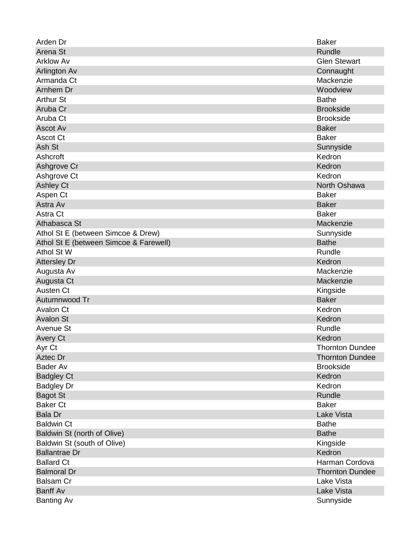| Arden Dr                               | <b>Baker</b>           |
|----------------------------------------|------------------------|
| Arena St                               | Rundle                 |
| <b>Arklow Av</b>                       | <b>Glen Stewart</b>    |
| <b>Arlington Av</b>                    | Connaught              |
| Armanda Ct                             | Mackenzie              |
| Arnhem Dr                              | Woodview               |
| <b>Arthur St</b>                       | <b>Bathe</b>           |
| Aruba Cr                               | <b>Brookside</b>       |
| Aruba Ct                               | <b>Brookside</b>       |
| Ascot Av                               | <b>Baker</b>           |
| <b>Ascot Ct</b>                        | <b>Baker</b>           |
| Ash St                                 | Sunnyside              |
| Ashcroft                               | Kedron                 |
| Ashgrove Cr                            | Kedron                 |
| Ashgrove Ct                            | Kedron                 |
| <b>Ashley Ct</b>                       | North Oshawa           |
| Aspen Ct                               | <b>Baker</b>           |
| Astra Av                               | <b>Baker</b>           |
| Astra Ct                               | <b>Baker</b>           |
| Athabasca St                           | Mackenzie              |
| Athol St E (between Simcoe & Drew)     | Sunnyside              |
| Athol St E (between Simcoe & Farewell) | <b>Bathe</b>           |
| Athol St W                             | Rundle                 |
| <b>Attersley Dr</b>                    | Kedron                 |
| Augusta Av                             | Mackenzie              |
| Augusta Ct                             | Mackenzie              |
| Austen Ct                              | Kingside               |
| Autumnwood Tr                          | <b>Baker</b>           |
| <b>Avalon Ct</b>                       | Kedron                 |
| <b>Avalon St</b>                       | Kedron                 |
| Avenue St                              | Rundle                 |
| <b>Avery Ct</b>                        | Kedron                 |
| Ayr Ct                                 | <b>Thornton Dundee</b> |
| Aztec Dr                               | <b>Thornton Dundee</b> |
| <b>Bader Av</b>                        | <b>Brookside</b>       |
| <b>Badgley Ct</b>                      | Kedron                 |
| <b>Badgley Dr</b>                      | Kedron                 |
| <b>Bagot St</b>                        | <b>Rundle</b>          |
| <b>Baker Ct</b>                        | <b>Baker</b>           |
| <b>Bala Dr</b>                         | Lake Vista             |
| <b>Baldwin Ct</b>                      | <b>Bathe</b>           |
| Baldwin St (north of Olive)            | <b>Bathe</b>           |
| Baldwin St (south of Olive)            | Kingside               |
| <b>Ballantrae Dr</b>                   | Kedron                 |
| <b>Ballard Ct</b>                      | Harman Cordova         |
| <b>Balmoral Dr</b>                     | <b>Thornton Dundee</b> |
| <b>Balsam Cr</b>                       | Lake Vista             |
| <b>Banff Av</b>                        | <b>Lake Vista</b>      |
| <b>Banting Av</b>                      | Sunnyside              |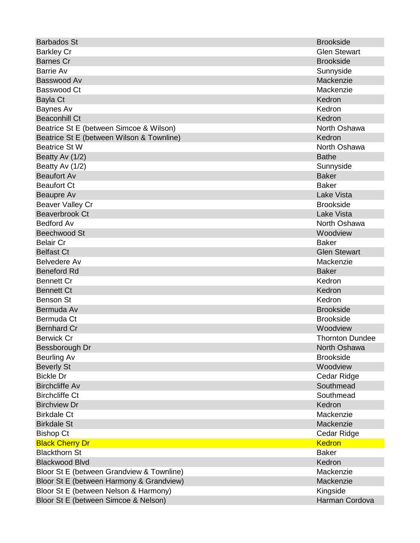| <b>Barbados St</b>                        | <b>Brookside</b>       |
|-------------------------------------------|------------------------|
| <b>Barkley Cr</b>                         | <b>Glen Stewart</b>    |
| <b>Barnes Cr</b>                          | <b>Brookside</b>       |
| <b>Barrie Av</b>                          | Sunnyside              |
| Basswood Av                               | Mackenzie              |
| Basswood Ct                               | Mackenzie              |
| Bayla Ct                                  | Kedron                 |
| Baynes Av                                 | Kedron                 |
| <b>Beaconhill Ct</b>                      | Kedron                 |
| Beatrice St E (between Simcoe & Wilson)   | North Oshawa           |
| Beatrice St E (between Wilson & Townline) | Kedron                 |
| <b>Beatrice St W</b>                      | North Oshawa           |
| Beatty Av (1/2)                           | <b>Bathe</b>           |
| Beatty Av (1/2)                           | Sunnyside              |
| <b>Beaufort Av</b>                        | <b>Baker</b>           |
| <b>Beaufort Ct</b>                        | <b>Baker</b>           |
| Beaupre Av                                | Lake Vista             |
| <b>Beaver Valley Cr</b>                   | <b>Brookside</b>       |
| Beaverbrook Ct                            | <b>Lake Vista</b>      |
| <b>Bedford Av</b>                         | North Oshawa           |
| <b>Beechwood St</b>                       | Woodview               |
| <b>Belair Cr</b>                          | <b>Baker</b>           |
| <b>Belfast Ct</b>                         | <b>Glen Stewart</b>    |
| Belvedere Av                              | Mackenzie              |
| <b>Beneford Rd</b>                        | <b>Baker</b>           |
| <b>Bennett Cr</b>                         | Kedron                 |
| <b>Bennett Ct</b>                         | Kedron                 |
| <b>Benson St</b>                          | Kedron                 |
| Bermuda Av                                | <b>Brookside</b>       |
| Bermuda Ct                                | <b>Brookside</b>       |
| <b>Bernhard Cr</b>                        | Woodview               |
| <b>Berwick Cr</b>                         | <b>Thornton Dundee</b> |
| Bessborough Dr                            | North Oshawa           |
| Beurling Av                               | <b>Brookside</b>       |
| <b>Beverly St</b>                         | Woodview               |
| <b>Bickle Dr</b>                          | Cedar Ridge            |
| <b>Birchcliffe Av</b>                     | Southmead              |
| <b>Birchcliffe Ct</b>                     | Southmead              |
| <b>Birchview Dr</b>                       | Kedron                 |
| <b>Birkdale Ct</b>                        | Mackenzie              |
| <b>Birkdale St</b>                        | Mackenzie              |
| <b>Bishop Ct</b>                          | Cedar Ridge            |
| <b>Black Cherry Dr</b>                    | <b>Kedron</b>          |
| <b>Blackthorn St</b>                      | <b>Baker</b>           |
| <b>Blackwood Blvd</b>                     | Kedron                 |
| Bloor St E (between Grandview & Townline) | Mackenzie              |
| Bloor St E (between Harmony & Grandview)  | Mackenzie              |
| Bloor St E (between Nelson & Harmony)     | Kingside               |
| Bloor St E (between Simcoe & Nelson)      | Harman Cordova         |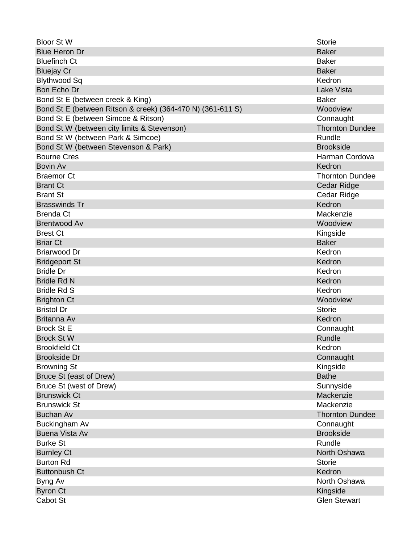| <b>Bloor St W</b>                                          | <b>Storie</b>          |
|------------------------------------------------------------|------------------------|
| <b>Blue Heron Dr</b>                                       | <b>Baker</b>           |
| <b>Bluefinch Ct</b>                                        | <b>Baker</b>           |
| <b>Bluejay Cr</b>                                          | <b>Baker</b>           |
| <b>Blythwood Sq</b>                                        | Kedron                 |
| Bon Echo Dr                                                | <b>Lake Vista</b>      |
| Bond St E (between creek & King)                           | <b>Baker</b>           |
| Bond St E (between Ritson & creek) (364-470 N) (361-611 S) | Woodview               |
| Bond St E (between Simcoe & Ritson)                        | Connaught              |
| Bond St W (between city limits & Stevenson)                | <b>Thornton Dundee</b> |
| Bond St W (between Park & Simcoe)                          | Rundle                 |
| Bond St W (between Stevenson & Park)                       | <b>Brookside</b>       |
| <b>Bourne Cres</b>                                         | Harman Cordova         |
| <b>Bovin Av</b>                                            | Kedron                 |
| <b>Braemor Ct</b>                                          | <b>Thornton Dundee</b> |
| <b>Brant Ct</b>                                            | <b>Cedar Ridge</b>     |
| <b>Brant St</b>                                            | Cedar Ridge            |
| <b>Brasswinds Tr</b>                                       | Kedron                 |
| <b>Brenda Ct</b>                                           | Mackenzie              |
| <b>Brentwood Av</b>                                        | Woodview               |
| <b>Brest Ct</b>                                            | Kingside               |
| <b>Briar Ct</b>                                            | <b>Baker</b>           |
| <b>Briarwood Dr</b>                                        | Kedron                 |
| <b>Bridgeport St</b>                                       | Kedron                 |
| <b>Bridle Dr</b>                                           | Kedron                 |
| <b>Bridle Rd N</b>                                         | Kedron                 |
| <b>Bridle Rd S</b>                                         | Kedron                 |
| <b>Brighton Ct</b>                                         | Woodview               |
| <b>Bristol Dr</b>                                          | <b>Storie</b>          |
| Britanna Av                                                | Kedron                 |
| <b>Brock St E</b>                                          | Connaught              |
| <b>Brock St W</b>                                          | Rundle                 |
| <b>Brookfield Ct</b>                                       | Kedron                 |
| <b>Brookside Dr</b>                                        | Connaught              |
| <b>Browning St</b>                                         | Kingside               |
| Bruce St (east of Drew)                                    | <b>Bathe</b>           |
| Bruce St (west of Drew)                                    | Sunnyside              |
| <b>Brunswick Ct</b>                                        | Mackenzie              |
| <b>Brunswick St</b>                                        | Mackenzie              |
| <b>Buchan Av</b>                                           | <b>Thornton Dundee</b> |
| Buckingham Av                                              | Connaught              |
| <b>Buena Vista Av</b>                                      | <b>Brookside</b>       |
| <b>Burke St</b>                                            | Rundle                 |
| <b>Burnley Ct</b>                                          | North Oshawa           |
| <b>Burton Rd</b>                                           | <b>Storie</b>          |
| <b>Buttonbush Ct</b>                                       | Kedron                 |
| Byng Av                                                    | North Oshawa           |
| <b>Byron Ct</b>                                            | Kingside               |
| Cabot St                                                   | <b>Glen Stewart</b>    |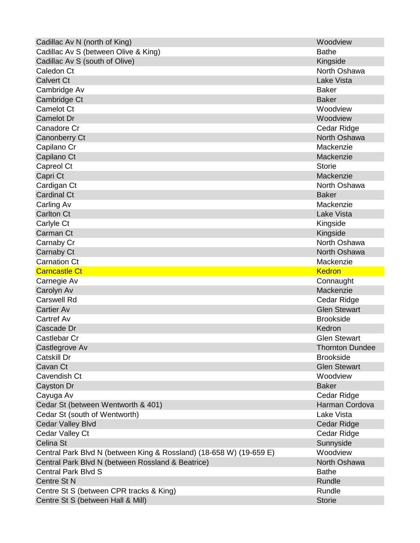| Cadillac Av N (north of King)                                       | Woodview               |
|---------------------------------------------------------------------|------------------------|
| Cadillac Av S (between Olive & King)                                | <b>Bathe</b>           |
| Cadillac Av S (south of Olive)                                      | Kingside               |
| Caledon Ct                                                          | North Oshawa           |
| <b>Calvert Ct</b>                                                   | <b>Lake Vista</b>      |
| Cambridge Av                                                        | <b>Baker</b>           |
| Cambridge Ct                                                        | <b>Baker</b>           |
| Camelot Ct                                                          | Woodview               |
| <b>Camelot Dr</b>                                                   | Woodview               |
| Canadore Cr                                                         | Cedar Ridge            |
| <b>Canonberry Ct</b>                                                | North Oshawa           |
| Capilano Cr                                                         | Mackenzie              |
| Capilano Ct                                                         | Mackenzie              |
| Capreol Ct                                                          | <b>Storie</b>          |
| Capri Ct                                                            | Mackenzie              |
| Cardigan Ct                                                         | North Oshawa           |
| <b>Cardinal Ct</b>                                                  | <b>Baker</b>           |
| Carling Av                                                          | Mackenzie              |
| <b>Carlton Ct</b>                                                   | <b>Lake Vista</b>      |
| Carlyle Ct                                                          | Kingside               |
| Carman Ct                                                           | Kingside               |
| Carnaby Cr                                                          | North Oshawa           |
| Carnaby Ct                                                          | North Oshawa           |
| <b>Carnation Ct</b>                                                 | Mackenzie              |
| <b>Carncastle Ct</b>                                                | <b>Kedron</b>          |
| Carnegie Av                                                         | Connaught              |
| Carolyn Av                                                          | Mackenzie              |
| <b>Carswell Rd</b>                                                  | Cedar Ridge            |
| <b>Cartier Av</b>                                                   | <b>Glen Stewart</b>    |
| Cartref Av                                                          | <b>Brookside</b>       |
| Cascade Dr                                                          | Kedron                 |
| <b>Castlebar Cr</b>                                                 | <b>Glen Stewart</b>    |
| Castlegrove Av                                                      | <b>Thornton Dundee</b> |
| Catskill Dr                                                         | <b>Brookside</b>       |
| Cavan Ct                                                            | <b>Glen Stewart</b>    |
| Cavendish Ct                                                        | Woodview               |
| <b>Cayston Dr</b>                                                   | <b>Baker</b>           |
| Cayuga Av                                                           | Cedar Ridge            |
| Cedar St (between Wentworth & 401)                                  | Harman Cordova         |
| Cedar St (south of Wentworth)                                       | Lake Vista             |
| <b>Cedar Valley Blvd</b>                                            | Cedar Ridge            |
| Cedar Valley Ct                                                     | Cedar Ridge            |
| Celina St                                                           | Sunnyside              |
| Central Park Blvd N (between King & Rossland) (18-658 W) (19-659 E) | Woodview               |
| Central Park Blvd N (between Rossland & Beatrice)                   | North Oshawa           |
| <b>Central Park Blvd S</b>                                          | <b>Bathe</b>           |
| Centre St N                                                         | Rundle                 |
| Centre St S (between CPR tracks & King)                             | Rundle                 |
| Centre St S (between Hall & Mill)                                   | <b>Storie</b>          |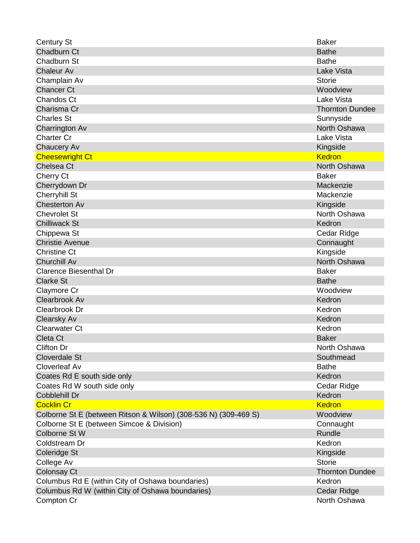| <b>Century St</b>                                               | <b>Baker</b>           |
|-----------------------------------------------------------------|------------------------|
| Chadburn Ct                                                     | <b>Bathe</b>           |
| Chadburn St                                                     | <b>Bathe</b>           |
| <b>Chaleur Av</b>                                               | Lake Vista             |
| Champlain Av                                                    | <b>Storie</b>          |
| <b>Chancer Ct</b>                                               | Woodview               |
| <b>Chandos Ct</b>                                               | Lake Vista             |
| Charisma Cr                                                     | <b>Thornton Dundee</b> |
| <b>Charles St</b>                                               | Sunnyside              |
| Charrington Av                                                  | North Oshawa           |
| <b>Charter Cr</b>                                               | Lake Vista             |
| Chaucery Av                                                     | Kingside               |
| <b>Cheesewright Ct</b>                                          | <b>Kedron</b>          |
| Chelsea Ct                                                      | North Oshawa           |
| Cherry Ct                                                       | <b>Baker</b>           |
| Cherrydown Dr                                                   | Mackenzie              |
| <b>Cherryhill St</b>                                            | Mackenzie              |
| <b>Chesterton Av</b>                                            | Kingside               |
| <b>Chevrolet St</b>                                             | North Oshawa           |
| <b>Chilliwack St</b>                                            | Kedron                 |
| Chippewa St                                                     | Cedar Ridge            |
| <b>Christie Avenue</b>                                          | Connaught              |
| <b>Christine Ct</b>                                             | Kingside               |
| <b>Churchill Av</b>                                             | North Oshawa           |
| <b>Clarence Biesenthal Dr</b>                                   | <b>Baker</b>           |
| <b>Clarke St</b>                                                | <b>Bathe</b>           |
| Claymore Cr                                                     | Woodview               |
| Clearbrook Av                                                   | Kedron                 |
| Clearbrook Dr                                                   | Kedron                 |
| <b>Clearsky Av</b>                                              | Kedron                 |
| <b>Clearwater Ct</b>                                            | Kedron                 |
| Cleta Ct                                                        | <b>Baker</b>           |
| <b>Clifton Dr</b>                                               | North Oshawa           |
| <b>Cloverdale St</b>                                            | Southmead              |
| Cloverleaf Av                                                   | <b>Bathe</b>           |
| Coates Rd E south side only                                     | Kedron                 |
| Coates Rd W south side only                                     | Cedar Ridge            |
| Cobblehill Dr                                                   | Kedron                 |
| <b>Cocklin Cr</b>                                               | <b>Kedron</b>          |
| Colborne St E (between Ritson & Wilson) (308-536 N) (309-469 S) | Woodview               |
| Colborne St E (between Simcoe & Division)                       | Connaught              |
| Colborne St W                                                   | <b>Rundle</b>          |
| Coldstream Dr                                                   | Kedron                 |
| Coleridge St                                                    | Kingside               |
| College Av                                                      | <b>Storie</b>          |
| Colonsay Ct                                                     | <b>Thornton Dundee</b> |
| Columbus Rd E (within City of Oshawa boundaries)                | Kedron                 |
| Columbus Rd W (within City of Oshawa boundaries)                | Cedar Ridge            |
| Compton Cr                                                      | North Oshawa           |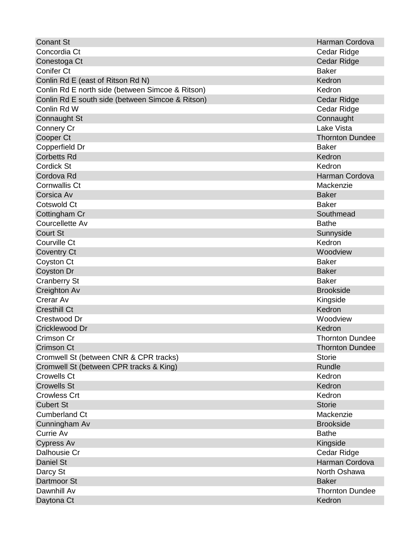| <b>Conant St</b>                                 | Harman Cordova         |
|--------------------------------------------------|------------------------|
| Concordia Ct                                     | Cedar Ridge            |
| Conestoga Ct                                     | <b>Cedar Ridge</b>     |
| Conifer Ct                                       | <b>Baker</b>           |
| Conlin Rd E (east of Ritson Rd N)                | Kedron                 |
| Conlin Rd E north side (between Simcoe & Ritson) | Kedron                 |
| Conlin Rd E south side (between Simcoe & Ritson) | Cedar Ridge            |
| Conlin Rd W                                      | Cedar Ridge            |
| <b>Connaught St</b>                              | Connaught              |
| <b>Connery Cr</b>                                | Lake Vista             |
| Cooper Ct                                        | <b>Thornton Dundee</b> |
| Copperfield Dr                                   | <b>Baker</b>           |
| <b>Corbetts Rd</b>                               | Kedron                 |
| Cordick St                                       | Kedron                 |
| Cordova Rd                                       | Harman Cordova         |
| <b>Cornwallis Ct</b>                             | Mackenzie              |
| Corsica Av                                       | <b>Baker</b>           |
| <b>Cotswold Ct</b>                               | <b>Baker</b>           |
| Cottingham Cr                                    | Southmead              |
| Courcellette Av                                  | <b>Bathe</b>           |
| <b>Court St</b>                                  | Sunnyside              |
| Courville Ct                                     | Kedron                 |
| <b>Coventry Ct</b>                               | Woodview               |
| Coyston Ct                                       | <b>Baker</b>           |
| <b>Coyston Dr</b>                                | <b>Baker</b>           |
| <b>Cranberry St</b>                              | <b>Baker</b>           |
| Creighton Av                                     | <b>Brookside</b>       |
| Crerar Av                                        | Kingside               |
| <b>Cresthill Ct</b>                              | Kedron                 |
| Crestwood Dr                                     | Woodview               |
| Cricklewood Dr                                   | Kedron                 |
| Crimson Cr                                       | <b>Thornton Dundee</b> |
| Crimson Ct                                       | <b>Thornton Dundee</b> |
| Cromwell St (between CNR & CPR tracks)           | <b>Storie</b>          |
| Cromwell St (between CPR tracks & King)          | Rundle                 |
| <b>Crowells Ct</b>                               | Kedron                 |
| <b>Crowells St</b>                               | Kedron                 |
| <b>Crowless Crt</b>                              | Kedron                 |
| <b>Cubert St</b>                                 | <b>Storie</b>          |
| <b>Cumberland Ct</b>                             | Mackenzie              |
| Cunningham Av                                    | <b>Brookside</b>       |
| Currie Av                                        | <b>Bathe</b>           |
| <b>Cypress Av</b>                                | Kingside               |
| Dalhousie Cr                                     | Cedar Ridge            |
| <b>Daniel St</b>                                 | Harman Cordova         |
| Darcy St                                         | North Oshawa           |
| Dartmoor St                                      | <b>Baker</b>           |
| Dawnhill Av                                      | <b>Thornton Dundee</b> |
| Daytona Ct                                       | Kedron                 |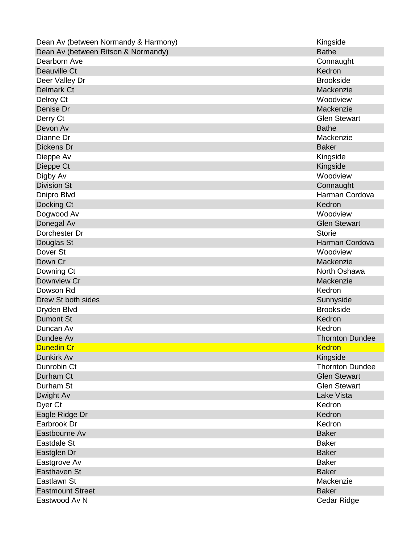| Dean Av (between Normandy & Harmony) | Kingside               |
|--------------------------------------|------------------------|
| Dean Av (between Ritson & Normandy)  | <b>Bathe</b>           |
| Dearborn Ave                         | Connaught              |
| Deauville Ct                         | Kedron                 |
| Deer Valley Dr                       | <b>Brookside</b>       |
| <b>Delmark Ct</b>                    | Mackenzie              |
| Delroy Ct                            | Woodview               |
| Denise Dr                            | Mackenzie              |
| Derry Ct                             | <b>Glen Stewart</b>    |
| Devon Av                             | <b>Bathe</b>           |
| Dianne Dr                            | Mackenzie              |
| Dickens Dr                           | <b>Baker</b>           |
| Dieppe Av                            | Kingside               |
| Dieppe Ct                            | Kingside               |
| Digby Av                             | Woodview               |
| <b>Division St</b>                   | Connaught              |
| Dnipro Blvd                          | Harman Cordova         |
| Docking Ct                           | Kedron                 |
| Dogwood Av                           | Woodview               |
| Donegal Av                           | <b>Glen Stewart</b>    |
| Dorchester Dr                        | <b>Storie</b>          |
| Douglas St                           | Harman Cordova         |
| Dover St                             | Woodview               |
| Down Cr                              | Mackenzie              |
| Downing Ct                           | North Oshawa           |
| Downview Cr                          | Mackenzie              |
| Dowson Rd                            | Kedron                 |
| Drew St both sides                   | Sunnyside              |
| Dryden Blvd                          | <b>Brookside</b>       |
| <b>Dumont St</b>                     | Kedron                 |
| Duncan Av                            | Kedron                 |
| Dundee Av                            | <b>Thornton Dundee</b> |
| <b>Dunedin Cr</b>                    | <b>Kedron</b>          |
| Dunkirk Av                           | Kingside               |
| Dunrobin Ct                          | <b>Thornton Dundee</b> |
| Durham Ct                            | <b>Glen Stewart</b>    |
| Durham St                            | <b>Glen Stewart</b>    |
| Dwight Av                            | Lake Vista             |
| Dyer Ct                              | Kedron                 |
| Eagle Ridge Dr                       | Kedron                 |
| Earbrook Dr                          | Kedron                 |
| Eastbourne Av                        | <b>Baker</b>           |
| Eastdale St                          | <b>Baker</b>           |
| Eastglen Dr                          | <b>Baker</b>           |
| Eastgrove Av                         | <b>Baker</b>           |
| Easthaven St                         | <b>Baker</b>           |
| Eastlawn St                          | Mackenzie              |
| <b>Eastmount Street</b>              | <b>Baker</b>           |
| Eastwood Av N                        | Cedar Ridge            |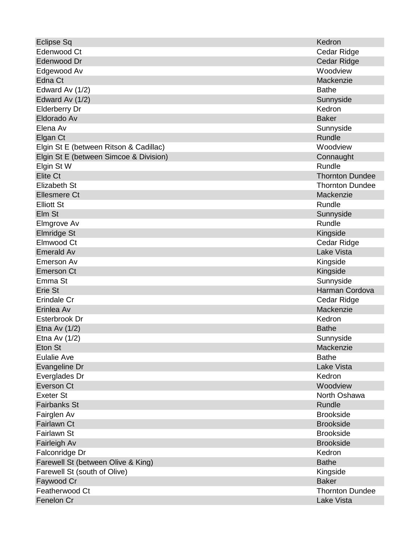| <b>Eclipse Sq</b>                      | Kedron                 |
|----------------------------------------|------------------------|
| Edenwood Ct                            | Cedar Ridge            |
| Edenwood Dr                            | Cedar Ridge            |
| Edgewood Av                            | Woodview               |
| Edna Ct                                | Mackenzie              |
| Edward Av (1/2)                        | <b>Bathe</b>           |
| Edward Av (1/2)                        | Sunnyside              |
| <b>Elderberry Dr</b>                   | Kedron                 |
| Eldorado Av                            | <b>Baker</b>           |
| Elena Av                               | Sunnyside              |
| Elgan Ct                               | Rundle                 |
| Elgin St E (between Ritson & Cadillac) | Woodview               |
| Elgin St E (between Simcoe & Division) | Connaught              |
| Elgin St W                             | Rundle                 |
| <b>Elite Ct</b>                        | <b>Thornton Dundee</b> |
| Elizabeth St                           | <b>Thornton Dundee</b> |
| <b>Ellesmere Ct</b>                    | Mackenzie              |
| <b>Elliott St</b>                      | Rundle                 |
| Elm St                                 | Sunnyside              |
| Elmgrove Av                            | Rundle                 |
| Elmridge St                            | Kingside               |
| Elmwood Ct                             | Cedar Ridge            |
| <b>Emerald Av</b>                      | Lake Vista             |
| Emerson Av                             | Kingside               |
| <b>Emerson Ct</b>                      | Kingside               |
| Emma St                                | Sunnyside              |
| Erie St                                | Harman Cordova         |
| Erindale Cr                            | Cedar Ridge            |
| Erinlea Av                             | Mackenzie              |
| Esterbrook Dr                          | Kedron                 |
| Etna Av $(1/2)$                        | <b>Bathe</b>           |
| Etna Av $(1/2)$                        | Sunnyside              |
| Eton St                                | Mackenzie              |
| <b>Eulalie Ave</b>                     | <b>Bathe</b>           |
| Evangeline Dr                          | <b>Lake Vista</b>      |
| Everglades Dr                          | Kedron                 |
| <b>Everson Ct</b>                      | Woodview               |
| <b>Exeter St</b>                       | North Oshawa           |
| <b>Fairbanks St</b>                    | Rundle                 |
| Fairglen Av                            | <b>Brookside</b>       |
| Fairlawn Ct                            | <b>Brookside</b>       |
| Fairlawn St                            | <b>Brookside</b>       |
| Fairleigh Av                           | <b>Brookside</b>       |
| Falconridge Dr                         | Kedron                 |
| Farewell St (between Olive & King)     | <b>Bathe</b>           |
| Farewell St (south of Olive)           | Kingside               |
| Faywood Cr                             | <b>Baker</b>           |
| Featherwood Ct                         | <b>Thornton Dundee</b> |
| Fenelon Cr                             | <b>Lake Vista</b>      |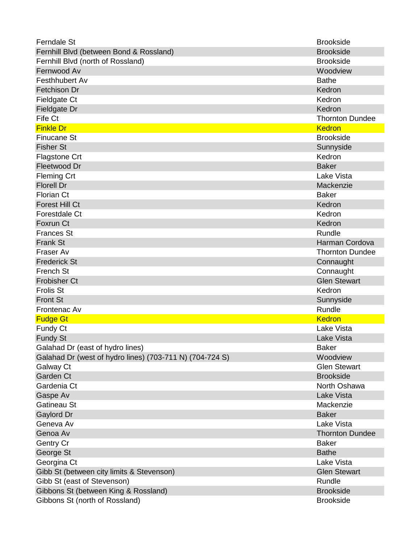| <b>Ferndale St</b>                                       | <b>Brookside</b>       |
|----------------------------------------------------------|------------------------|
| Fernhill Blvd (between Bond & Rossland)                  | <b>Brookside</b>       |
| Fernhill Blvd (north of Rossland)                        | <b>Brookside</b>       |
| Fernwood Av                                              | Woodview               |
| Festhhubert Av                                           | <b>Bathe</b>           |
| Fetchison Dr                                             | Kedron                 |
| Fieldgate Ct                                             | Kedron                 |
| Fieldgate Dr                                             | Kedron                 |
| Fife Ct                                                  | <b>Thornton Dundee</b> |
| <b>Finkle Dr</b>                                         | <b>Kedron</b>          |
| <b>Finucane St</b>                                       | <b>Brookside</b>       |
| <b>Fisher St</b>                                         | Sunnyside              |
| <b>Flagstone Crt</b>                                     | Kedron                 |
| Fleetwood Dr                                             | <b>Baker</b>           |
| <b>Fleming Crt</b>                                       | <b>Lake Vista</b>      |
| <b>Florell Dr</b>                                        | Mackenzie              |
| <b>Florian Ct</b>                                        | <b>Baker</b>           |
| <b>Forest Hill Ct</b>                                    | Kedron                 |
| Forestdale Ct                                            | Kedron                 |
| Foxrun Ct                                                | Kedron                 |
| <b>Frances St</b>                                        | Rundle                 |
| <b>Frank St</b>                                          | Harman Cordova         |
| Fraser Av                                                | <b>Thornton Dundee</b> |
| <b>Frederick St</b>                                      | Connaught              |
| French St                                                | Connaught              |
| <b>Frobisher Ct</b>                                      | <b>Glen Stewart</b>    |
| <b>Frolis St</b>                                         | Kedron                 |
| <b>Front St</b>                                          | Sunnyside              |
| Frontenac Av                                             | Rundle                 |
| <b>Fudge Gt</b>                                          | <b>Kedron</b>          |
| Fundy Ct                                                 | Lake Vista             |
| <b>Fundy St</b>                                          | Lake Vista             |
| Galahad Dr (east of hydro lines)                         | <b>Baker</b>           |
| Galahad Dr (west of hydro lines) (703-711 N) (704-724 S) | Woodview               |
| Galway Ct                                                | <b>Glen Stewart</b>    |
| Garden Ct                                                | <b>Brookside</b>       |
| Gardenia Ct                                              | North Oshawa           |
| Gaspe Av                                                 | <b>Lake Vista</b>      |
| Gatineau St                                              | Mackenzie              |
| Gaylord Dr                                               | <b>Baker</b>           |
| Geneva Av                                                | Lake Vista             |
| Genoa Av                                                 | <b>Thornton Dundee</b> |
| Gentry Cr                                                | <b>Baker</b>           |
| George St                                                | <b>Bathe</b>           |
| Georgina Ct                                              | Lake Vista             |
| Gibb St (between city limits & Stevenson)                | <b>Glen Stewart</b>    |
| Gibb St (east of Stevenson)                              | Rundle                 |
| Gibbons St (between King & Rossland)                     | <b>Brookside</b>       |
| Gibbons St (north of Rossland)                           | <b>Brookside</b>       |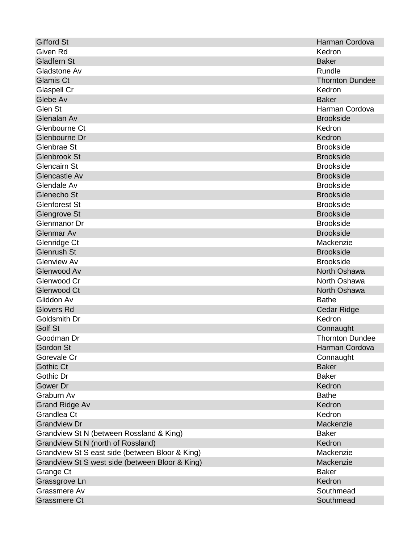| <b>Gifford St</b>                               | Harman Cordova         |
|-------------------------------------------------|------------------------|
| Given Rd                                        | Kedron                 |
| <b>Gladfern St</b>                              | <b>Baker</b>           |
| Gladstone Av                                    | Rundle                 |
| <b>Glamis Ct</b>                                | <b>Thornton Dundee</b> |
| Glaspell Cr                                     | Kedron                 |
| Glebe Av                                        | <b>Baker</b>           |
| Glen St                                         | Harman Cordova         |
| Glenalan Av                                     | <b>Brookside</b>       |
| Glenbourne Ct                                   | Kedron                 |
| Glenbourne Dr                                   | Kedron                 |
| Glenbrae St                                     | <b>Brookside</b>       |
| <b>Glenbrook St</b>                             | <b>Brookside</b>       |
| <b>Glencairn St</b>                             | <b>Brookside</b>       |
| Glencastle Av                                   | <b>Brookside</b>       |
| Glendale Av                                     | <b>Brookside</b>       |
| Glenecho St                                     | <b>Brookside</b>       |
| <b>Glenforest St</b>                            | <b>Brookside</b>       |
| Glengrove St                                    | <b>Brookside</b>       |
| Glenmanor Dr                                    | <b>Brookside</b>       |
| <b>Glenmar Av</b>                               | <b>Brookside</b>       |
| Glenridge Ct                                    | Mackenzie              |
| <b>Glenrush St</b>                              | <b>Brookside</b>       |
| <b>Glenview Av</b>                              | <b>Brookside</b>       |
| Glenwood Av                                     | North Oshawa           |
| Glenwood Cr                                     | North Oshawa           |
| <b>Glenwood Ct</b>                              | North Oshawa           |
| Gliddon Av                                      | <b>Bathe</b>           |
| <b>Glovers Rd</b>                               | <b>Cedar Ridge</b>     |
| Goldsmith Dr                                    | Kedron                 |
| Golf St                                         | Connaught              |
| Goodman Dr                                      | <b>Thornton Dundee</b> |
| Gordon St                                       | Harman Cordova         |
| Gorevale Cr                                     | Connaught              |
| <b>Gothic Ct</b>                                | <b>Baker</b>           |
| Gothic Dr                                       | <b>Baker</b>           |
| Gower Dr                                        | Kedron                 |
| Graburn Av                                      | <b>Bathe</b>           |
| <b>Grand Ridge Av</b>                           | Kedron                 |
| Grandlea Ct                                     | Kedron                 |
| <b>Grandview Dr</b>                             | Mackenzie              |
| Grandview St N (between Rossland & King)        | <b>Baker</b>           |
| Grandview St N (north of Rossland)              | Kedron                 |
| Grandview St S east side (between Bloor & King) | Mackenzie              |
| Grandview St S west side (between Bloor & King) | Mackenzie              |
| Grange Ct                                       | <b>Baker</b>           |
| Grassgrove Ln                                   | Kedron                 |
| Grassmere Av                                    | Southmead              |
| <b>Grassmere Ct</b>                             | Southmead              |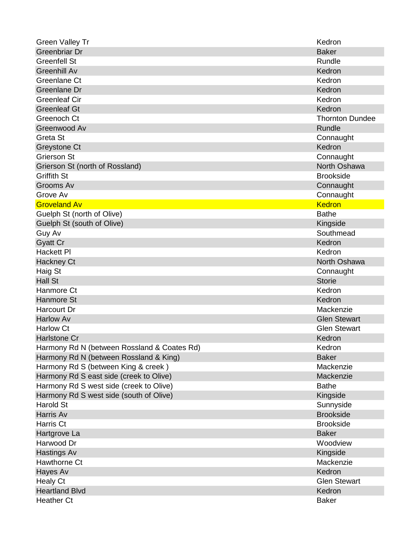| <b>Green Valley Tr</b>                      | Kedron                 |
|---------------------------------------------|------------------------|
| Greenbriar Dr                               | <b>Baker</b>           |
| <b>Greenfell St</b>                         | Rundle                 |
| <b>Greenhill Av</b>                         | Kedron                 |
| Greenlane Ct                                | Kedron                 |
| Greenlane Dr                                | Kedron                 |
| <b>Greenleaf Cir</b>                        | Kedron                 |
| <b>Greenleaf Gt</b>                         | Kedron                 |
| Greenoch Ct                                 | <b>Thornton Dundee</b> |
| Greenwood Av                                | <b>Rundle</b>          |
| Greta St                                    | Connaught              |
| Greystone Ct                                | Kedron                 |
| <b>Grierson St</b>                          | Connaught              |
| Grierson St (north of Rossland)             | North Oshawa           |
| <b>Griffith St</b>                          | <b>Brookside</b>       |
| Grooms Av                                   | Connaught              |
| Grove Av                                    | Connaught              |
| <b>Groveland Av</b>                         | <b>Kedron</b>          |
| Guelph St (north of Olive)                  | <b>Bathe</b>           |
| Guelph St (south of Olive)                  | Kingside               |
| Guy Av                                      | Southmead              |
| <b>Gyatt Cr</b>                             | Kedron                 |
| <b>Hackett PI</b>                           | Kedron                 |
| Hackney Ct                                  | North Oshawa           |
| Haig St                                     | Connaught              |
| <b>Hall St</b>                              | <b>Storie</b>          |
| Hanmore Ct                                  | Kedron                 |
| <b>Hanmore St</b>                           | Kedron                 |
| <b>Harcourt Dr</b>                          | Mackenzie              |
| <b>Harlow Av</b>                            | <b>Glen Stewart</b>    |
| <b>Harlow Ct</b>                            | <b>Glen Stewart</b>    |
| Harlstone Cr                                | Kedron                 |
| Harmony Rd N (between Rossland & Coates Rd) | Kedron                 |
| Harmony Rd N (between Rossland & King)      | <b>Baker</b>           |
| Harmony Rd S (between King & creek)         | Mackenzie              |
| Harmony Rd S east side (creek to Olive)     | Mackenzie              |
| Harmony Rd S west side (creek to Olive)     | <b>Bathe</b>           |
| Harmony Rd S west side (south of Olive)     | Kingside               |
| <b>Harold St</b>                            | Sunnyside              |
| Harris Av                                   | <b>Brookside</b>       |
| Harris Ct                                   | <b>Brookside</b>       |
| Hartgrove La                                | <b>Baker</b>           |
| Harwood Dr                                  | Woodview               |
| <b>Hastings Av</b>                          | Kingside               |
| Hawthorne Ct                                | Mackenzie              |
| Hayes Av                                    | Kedron                 |
| <b>Healy Ct</b>                             | <b>Glen Stewart</b>    |
| <b>Heartland Blvd</b>                       | Kedron                 |
| <b>Heather Ct</b>                           | <b>Baker</b>           |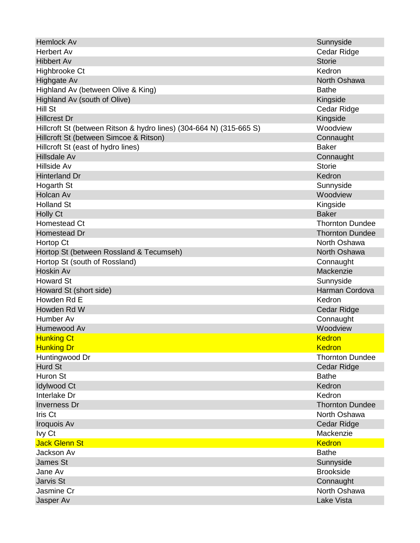| <b>Hemlock Av</b>                                                   | Sunnyside              |
|---------------------------------------------------------------------|------------------------|
| <b>Herbert Av</b>                                                   | Cedar Ridge            |
| <b>Hibbert Av</b>                                                   | <b>Storie</b>          |
| Highbrooke Ct                                                       | Kedron                 |
| Highgate Av                                                         | North Oshawa           |
| Highland Av (between Olive & King)                                  | <b>Bathe</b>           |
| Highland Av (south of Olive)                                        | Kingside               |
| Hill St                                                             | Cedar Ridge            |
| <b>Hillcrest Dr</b>                                                 | Kingside               |
| Hillcroft St (between Ritson & hydro lines) (304-664 N) (315-665 S) | Woodview               |
| Hillcroft St (between Simcoe & Ritson)                              | Connaught              |
| Hillcroft St (east of hydro lines)                                  | <b>Baker</b>           |
| Hillsdale Av                                                        | Connaught              |
| Hillside Av                                                         | <b>Storie</b>          |
| <b>Hinterland Dr</b>                                                | Kedron                 |
| Hogarth St                                                          | Sunnyside              |
| Holcan Av                                                           | Woodview               |
| <b>Holland St</b>                                                   | Kingside               |
| <b>Holly Ct</b>                                                     | <b>Baker</b>           |
| Homestead Ct                                                        | <b>Thornton Dundee</b> |
| Homestead Dr                                                        | <b>Thornton Dundee</b> |
| Hortop Ct                                                           | North Oshawa           |
| Hortop St (between Rossland & Tecumseh)                             | North Oshawa           |
| Hortop St (south of Rossland)                                       | Connaught              |
| Hoskin Av                                                           | Mackenzie              |
| <b>Howard St</b>                                                    | Sunnyside              |
| Howard St (short side)                                              | Harman Cordova         |
| Howden Rd E                                                         | Kedron                 |
| Howden Rd W                                                         | Cedar Ridge            |
| Humber Av                                                           | Connaught              |
| Humewood Av                                                         | Woodview               |
| <b>Hunking Ct</b>                                                   | Kedron                 |
| <b>Hunking Dr</b>                                                   | <b>Kedron</b>          |
| Huntingwood Dr                                                      | <b>Thornton Dundee</b> |
| <b>Hurd St</b>                                                      | Cedar Ridge            |
| Huron St                                                            | <b>Bathe</b>           |
| <b>Idylwood Ct</b>                                                  | Kedron                 |
| Interlake Dr                                                        | Kedron                 |
| <b>Inverness Dr</b>                                                 | <b>Thornton Dundee</b> |
| Iris Ct                                                             | North Oshawa           |
| Iroquois Av                                                         | Cedar Ridge            |
| Ivy Ct                                                              | Mackenzie              |
| <b>Jack Glenn St</b>                                                | <b>Kedron</b>          |
| Jackson Av                                                          | <b>Bathe</b>           |
| <b>James St</b>                                                     | Sunnyside              |
| Jane Av                                                             | <b>Brookside</b>       |
| Jarvis St                                                           | Connaught              |
| Jasmine Cr                                                          | North Oshawa           |
| Jasper Av                                                           | <b>Lake Vista</b>      |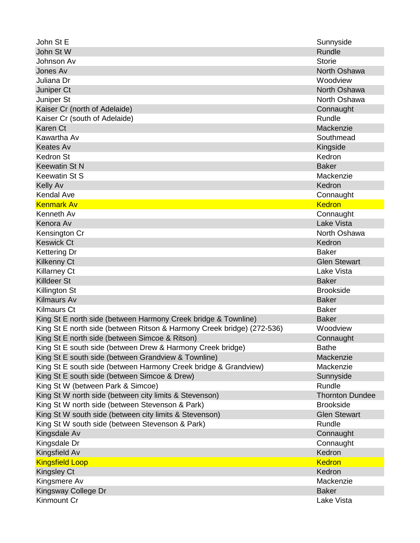| John St E                                                              | Sunnyside              |
|------------------------------------------------------------------------|------------------------|
| John St W                                                              | Rundle                 |
| Johnson Av                                                             | <b>Storie</b>          |
| Jones Av                                                               | North Oshawa           |
| Juliana Dr                                                             | Woodview               |
| Juniper Ct                                                             | North Oshawa           |
| Juniper St                                                             | North Oshawa           |
| Kaiser Cr (north of Adelaide)                                          | Connaught              |
| Kaiser Cr (south of Adelaide)                                          | Rundle                 |
| Karen Ct                                                               | Mackenzie              |
| Kawartha Av                                                            | Southmead              |
| <b>Keates Av</b>                                                       | Kingside               |
| <b>Kedron St</b>                                                       | Kedron                 |
| <b>Keewatin St N</b>                                                   | <b>Baker</b>           |
| <b>Keewatin St S</b>                                                   | Mackenzie              |
| <b>Kelly Av</b>                                                        | Kedron                 |
| <b>Kendal Ave</b>                                                      | Connaught              |
| <b>Kenmark Av</b>                                                      | <b>Kedron</b>          |
| Kenneth Av                                                             | Connaught              |
| Kenora Av                                                              | Lake Vista             |
| Kensington Cr                                                          | North Oshawa           |
| <b>Keswick Ct</b>                                                      | Kedron                 |
| <b>Kettering Dr</b>                                                    | <b>Baker</b>           |
| <b>Kilkenny Ct</b>                                                     | <b>Glen Stewart</b>    |
| <b>Killarney Ct</b>                                                    | Lake Vista             |
| <b>Killdeer St</b>                                                     | <b>Baker</b>           |
| Killington St                                                          | <b>Brookside</b>       |
| <b>Kilmaurs Av</b>                                                     | <b>Baker</b>           |
| <b>Kilmaurs Ct</b>                                                     | <b>Baker</b>           |
| King St E north side (between Harmony Creek bridge & Townline)         | <b>Baker</b>           |
| King St E north side (between Ritson & Harmony Creek bridge) (272-536) | Woodview               |
| King St E north side (between Simcoe & Ritson)                         | Connaught              |
| King St E south side (between Drew & Harmony Creek bridge)             | <b>Bathe</b>           |
| King St E south side (between Grandview & Townline)                    | Mackenzie              |
| King St E south side (between Harmony Creek bridge & Grandview)        | Mackenzie              |
| King St E south side (between Simcoe & Drew)                           | Sunnyside              |
| King St W (between Park & Simcoe)                                      | Rundle                 |
| King St W north side (between city limits & Stevenson)                 | <b>Thornton Dundee</b> |
| King St W north side (between Stevenson & Park)                        | <b>Brookside</b>       |
| King St W south side (between city limits & Stevenson)                 | <b>Glen Stewart</b>    |
| King St W south side (between Stevenson & Park)                        | Rundle                 |
| Kingsdale Av                                                           | Connaught              |
| Kingsdale Dr                                                           | Connaught              |
| Kingsfield Av                                                          | Kedron                 |
| <b>Kingsfield Loop</b>                                                 | <b>Kedron</b>          |
| Kingsley Ct                                                            | Kedron                 |
| Kingsmere Av                                                           | Mackenzie              |
| Kingsway College Dr                                                    | <b>Baker</b>           |
| Kinmount Cr                                                            | Lake Vista             |
|                                                                        |                        |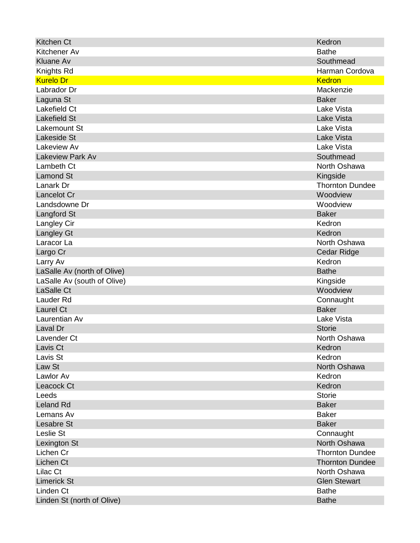| Kitchen Ct                  | Kedron                 |
|-----------------------------|------------------------|
| Kitchener Av                | <b>Bathe</b>           |
| <b>Kluane Av</b>            | Southmead              |
| Knights Rd                  | Harman Cordova         |
| <b>Kurelo Dr</b>            | <b>Kedron</b>          |
| Labrador Dr                 | Mackenzie              |
| Laguna St                   | <b>Baker</b>           |
| Lakefield Ct                | Lake Vista             |
| <b>Lakefield St</b>         | <b>Lake Vista</b>      |
| Lakemount St                | Lake Vista             |
| <b>Lakeside St</b>          | Lake Vista             |
| Lakeview Av                 | Lake Vista             |
| <b>Lakeview Park Av</b>     | Southmead              |
| Lambeth Ct                  | North Oshawa           |
| <b>Lamond St</b>            | Kingside               |
| Lanark Dr                   | <b>Thornton Dundee</b> |
| Lancelot Cr                 | Woodview               |
| Landsdowne Dr               | Woodview               |
| Langford St                 | <b>Baker</b>           |
| Langley Cir                 | Kedron                 |
| <b>Langley Gt</b>           | Kedron                 |
| Laracor La                  | North Oshawa           |
| Largo Cr                    | Cedar Ridge            |
| Larry Av                    | Kedron                 |
| LaSalle Av (north of Olive) | <b>Bathe</b>           |
| LaSalle Av (south of Olive) | Kingside               |
| LaSalle Ct                  | Woodview               |
| Lauder Rd                   | Connaught              |
| Laurel Ct                   | <b>Baker</b>           |
| Laurentian Av               | Lake Vista             |
| Laval Dr                    | <b>Storie</b>          |
| Lavender Ct                 | North Oshawa           |
| Lavis Ct                    | Kedron                 |
| Lavis St                    | Kedron                 |
| Law St                      | North Oshawa           |
| Lawlor Av                   | Kedron                 |
| Leacock Ct                  | Kedron                 |
| Leeds                       | <b>Storie</b>          |
| <b>Leland Rd</b>            | <b>Baker</b>           |
| Lemans Av                   | <b>Baker</b>           |
| Lesabre St                  | <b>Baker</b>           |
| Leslie St                   | Connaught              |
| Lexington St                | North Oshawa           |
| Lichen Cr                   | <b>Thornton Dundee</b> |
| Lichen Ct                   | <b>Thornton Dundee</b> |
| Lilac Ct                    | North Oshawa           |
| <b>Limerick St</b>          | <b>Glen Stewart</b>    |
| Linden Ct                   | <b>Bathe</b>           |
| Linden St (north of Olive)  | <b>Bathe</b>           |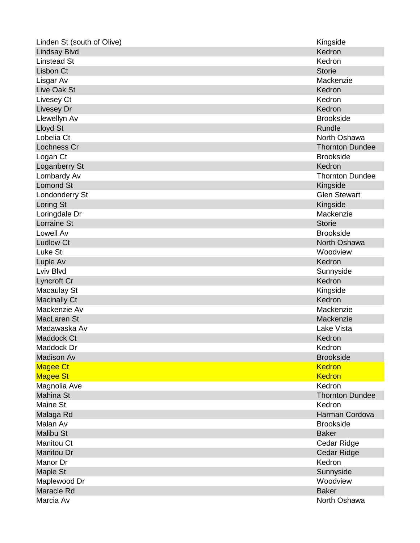| Linden St (south of Olive) | Kingside               |
|----------------------------|------------------------|
| <b>Lindsay Blvd</b>        | Kedron                 |
| <b>Linstead St</b>         | Kedron                 |
| <b>Lisbon Ct</b>           | <b>Storie</b>          |
| Lisgar Av                  | Mackenzie              |
| Live Oak St                | Kedron                 |
| Livesey Ct                 | Kedron                 |
| Livesey Dr                 | Kedron                 |
| Llewellyn Av               | <b>Brookside</b>       |
| Lloyd St                   | Rundle                 |
| Lobelia Ct                 | North Oshawa           |
| Lochness Cr                | <b>Thornton Dundee</b> |
| Logan Ct                   | <b>Brookside</b>       |
| Loganberry St              | Kedron                 |
| Lombardy Av                | <b>Thornton Dundee</b> |
| <b>Lomond St</b>           | Kingside               |
| Londonderry St             | <b>Glen Stewart</b>    |
| Loring St                  | Kingside               |
| Loringdale Dr              | Mackenzie              |
| Lorraine St                | <b>Storie</b>          |
| Lowell Av                  | <b>Brookside</b>       |
| <b>Ludlow Ct</b>           | North Oshawa           |
| Luke St                    | Woodview               |
| Luple Av                   | Kedron                 |
| Lviv Blvd                  | Sunnyside              |
| Lyncroft Cr                | Kedron                 |
| <b>Macaulay St</b>         | Kingside               |
| <b>Macinally Ct</b>        | Kedron                 |
| Mackenzie Av               | Mackenzie              |
| MacLaren St                | Mackenzie              |
| Madawaska Av               | Lake Vista             |
| Maddock Ct                 | Kedron                 |
| Maddock Dr                 | Kedron                 |
| <b>Madison Av</b>          | <b>Brookside</b>       |
| <b>Magee Ct</b>            | <b>Kedron</b>          |
| <b>Magee St</b>            | <b>Kedron</b>          |
| Magnolia Ave               | Kedron                 |
| <b>Mahina St</b>           | <b>Thornton Dundee</b> |
| Maine St                   | Kedron                 |
| Malaga Rd                  | Harman Cordova         |
| Malan Av                   | <b>Brookside</b>       |
| <b>Malibu St</b>           | <b>Baker</b>           |
| <b>Manitou Ct</b>          | Cedar Ridge            |
| <b>Manitou Dr</b>          | Cedar Ridge            |
| Manor Dr                   | Kedron                 |
| Maple St                   | Sunnyside              |
| Maplewood Dr               | Woodview               |
| Maracle Rd                 | <b>Baker</b>           |
| Marcia Av                  | North Oshawa           |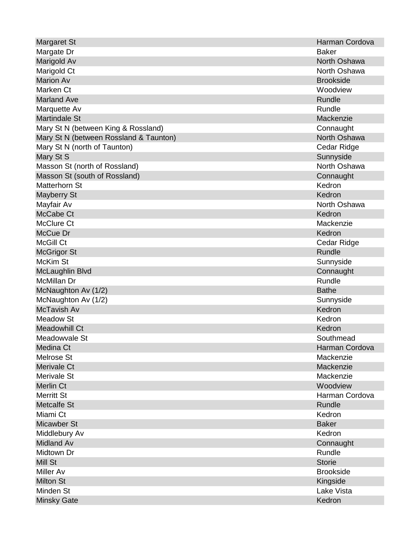| Margaret St                            | Harman Cordova   |
|----------------------------------------|------------------|
| Margate Dr                             | <b>Baker</b>     |
| Marigold Av                            | North Oshawa     |
| Marigold Ct                            | North Oshawa     |
| <b>Marion Av</b>                       | <b>Brookside</b> |
| Marken Ct                              | Woodview         |
| <b>Marland Ave</b>                     | <b>Rundle</b>    |
| Marquette Av                           | Rundle           |
| <b>Martindale St</b>                   | Mackenzie        |
| Mary St N (between King & Rossland)    | Connaught        |
| Mary St N (between Rossland & Taunton) | North Oshawa     |
| Mary St N (north of Taunton)           | Cedar Ridge      |
| Mary St S                              | Sunnyside        |
| Masson St (north of Rossland)          | North Oshawa     |
| Masson St (south of Rossland)          | Connaught        |
| <b>Matterhorn St</b>                   | Kedron           |
| <b>Mayberry St</b>                     | Kedron           |
| Mayfair Av                             | North Oshawa     |
| McCabe Ct                              | Kedron           |
| <b>McClure Ct</b>                      | Mackenzie        |
| McCue Dr                               | Kedron           |
| McGill Ct                              | Cedar Ridge      |
| <b>McGrigor St</b>                     | Rundle           |
| McKim St                               | Sunnyside        |
| McLaughlin Blvd                        | Connaught        |
| McMillan Dr                            | Rundle           |
| McNaughton Av (1/2)                    | <b>Bathe</b>     |
| McNaughton Av (1/2)                    | Sunnyside        |
| McTavish Av                            | Kedron           |
| <b>Meadow St</b>                       | Kedron           |
| <b>Meadowhill Ct</b>                   | Kedron           |
| Meadowvale St                          | Southmead        |
| Medina Ct                              | Harman Cordova   |
| <b>Melrose St</b>                      | Mackenzie        |
| Merivale Ct                            | Mackenzie        |
| Merivale St                            | Mackenzie        |
| <b>Merlin Ct</b>                       | Woodview         |
| <b>Merritt St</b>                      | Harman Cordova   |
| <b>Metcalfe St</b>                     | <b>Rundle</b>    |
| Miami Ct                               | Kedron           |
| Micawber St                            | <b>Baker</b>     |
| Middlebury Av                          | Kedron           |
| Midland Av                             | Connaught        |
| Midtown Dr                             | Rundle           |
| Mill St                                | <b>Storie</b>    |
| <b>Miller Av</b>                       | <b>Brookside</b> |
| <b>Milton St</b>                       | Kingside         |
| Minden St                              | Lake Vista       |
| <b>Minsky Gate</b>                     | Kedron           |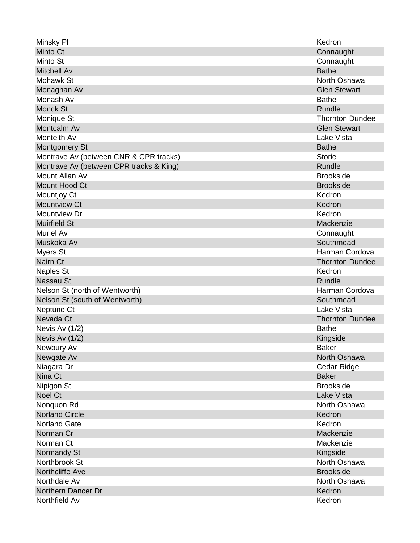| Minsky PI                               | Kedron                 |
|-----------------------------------------|------------------------|
| Minto Ct                                | Connaught              |
| Minto St                                | Connaught              |
| <b>Mitchell Av</b>                      | <b>Bathe</b>           |
| <b>Mohawk St</b>                        | North Oshawa           |
| Monaghan Av                             | <b>Glen Stewart</b>    |
| Monash Av                               | <b>Bathe</b>           |
| <b>Monck St</b>                         | Rundle                 |
| Monique St                              | <b>Thornton Dundee</b> |
| Montcalm Av                             | <b>Glen Stewart</b>    |
| <b>Monteith Av</b>                      | Lake Vista             |
| <b>Montgomery St</b>                    | <b>Bathe</b>           |
| Montrave Av (between CNR & CPR tracks)  | <b>Storie</b>          |
| Montrave Av (between CPR tracks & King) | Rundle                 |
| Mount Allan Av                          | <b>Brookside</b>       |
| Mount Hood Ct                           | <b>Brookside</b>       |
| Mountjoy Ct                             | Kedron                 |
| <b>Mountview Ct</b>                     | Kedron                 |
| Mountview Dr                            | Kedron                 |
| <b>Muirfield St</b>                     | Mackenzie              |
| <b>Muriel Av</b>                        | Connaught              |
| Muskoka Av                              | Southmead              |
| <b>Myers St</b>                         | Harman Cordova         |
| Nairn Ct                                | <b>Thornton Dundee</b> |
| <b>Naples St</b>                        | Kedron                 |
| Nassau St                               | Rundle                 |
| Nelson St (north of Wentworth)          | Harman Cordova         |
| Nelson St (south of Wentworth)          | Southmead              |
| Neptune Ct                              | Lake Vista             |
| Nevada Ct                               | <b>Thornton Dundee</b> |
| Nevis Av $(1/2)$                        | <b>Bathe</b>           |
| Nevis Av $(1/2)$                        | Kingside               |
| Newbury Av                              | <b>Baker</b>           |
| Newgate Av                              | North Oshawa           |
| Niagara Dr                              | Cedar Ridge            |
| Nina Ct                                 | <b>Baker</b>           |
| Nipigon St                              | <b>Brookside</b>       |
| Noel Ct                                 | Lake Vista             |
| Nonquon Rd                              | North Oshawa           |
| <b>Norland Circle</b>                   | Kedron                 |
| <b>Norland Gate</b>                     | Kedron                 |
| Norman Cr                               | Mackenzie              |
| Norman Ct                               | Mackenzie              |
| Normandy St                             | Kingside               |
| Northbrook St                           | North Oshawa           |
| Northcliffe Ave                         | <b>Brookside</b>       |
| Northdale Av                            | North Oshawa           |
| Northern Dancer Dr                      | Kedron                 |
| Northfield Av                           | Kedron                 |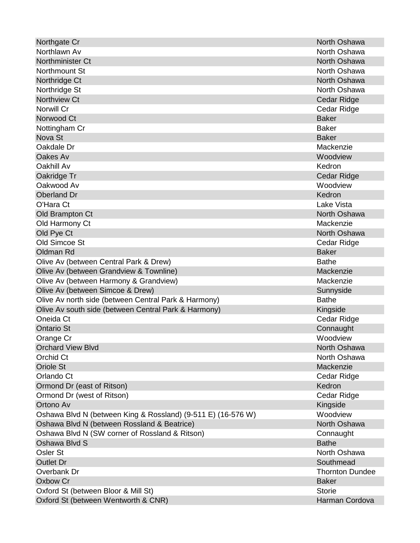| Northgate Cr                                                 | North Oshawa           |
|--------------------------------------------------------------|------------------------|
| Northlawn Av                                                 | North Oshawa           |
| Northminister Ct                                             | North Oshawa           |
| Northmount St                                                | North Oshawa           |
| Northridge Ct                                                | North Oshawa           |
| Northridge St                                                | North Oshawa           |
| Northview Ct                                                 | Cedar Ridge            |
| Norwill Cr                                                   | Cedar Ridge            |
| Norwood Ct                                                   | <b>Baker</b>           |
| Nottingham Cr                                                | <b>Baker</b>           |
| Nova St                                                      | <b>Baker</b>           |
| Oakdale Dr                                                   | Mackenzie              |
| Oakes Av                                                     | Woodview               |
| Oakhill Av                                                   | Kedron                 |
| Oakridge Tr                                                  | <b>Cedar Ridge</b>     |
| Oakwood Av                                                   | Woodview               |
| Oberland Dr                                                  | Kedron                 |
| O'Hara Ct                                                    | Lake Vista             |
| Old Brampton Ct                                              | North Oshawa           |
| Old Harmony Ct                                               | Mackenzie              |
| Old Pye Ct                                                   | North Oshawa           |
| Old Simcoe St                                                | Cedar Ridge            |
| Oldman Rd                                                    | <b>Baker</b>           |
| Olive Av (between Central Park & Drew)                       | <b>Bathe</b>           |
| Olive Av (between Grandview & Townline)                      | Mackenzie              |
| Olive Av (between Harmony & Grandview)                       | Mackenzie              |
| Olive Av (between Simcoe & Drew)                             | Sunnyside              |
| Olive Av north side (between Central Park & Harmony)         | <b>Bathe</b>           |
| Olive Av south side (between Central Park & Harmony)         | Kingside               |
| Oneida Ct                                                    | Cedar Ridge            |
| <b>Ontario St</b>                                            | Connaught              |
| Orange Cr                                                    | Woodview               |
| <b>Orchard View Blvd</b>                                     | North Oshawa           |
| Orchid Ct                                                    | North Oshawa           |
| <b>Oriole St</b>                                             | Mackenzie              |
| Orlando Ct                                                   | Cedar Ridge            |
| Ormond Dr (east of Ritson)                                   | Kedron                 |
| Ormond Dr (west of Ritson)                                   | Cedar Ridge            |
| Ortono Av                                                    | Kingside               |
| Oshawa Blvd N (between King & Rossland) (9-511 E) (16-576 W) | Woodview               |
| Oshawa Blvd N (between Rossland & Beatrice)                  | North Oshawa           |
| Oshawa Blvd N (SW corner of Rossland & Ritson)               | Connaught              |
| Oshawa Blvd S                                                | <b>Bathe</b>           |
| Osler St                                                     | North Oshawa           |
| <b>Outlet Dr</b>                                             | Southmead              |
| Overbank Dr                                                  | <b>Thornton Dundee</b> |
| Oxbow Cr                                                     | <b>Baker</b>           |
| Oxford St (between Bloor & Mill St)                          | <b>Storie</b>          |
| Oxford St (between Wentworth & CNR)                          | Harman Cordova         |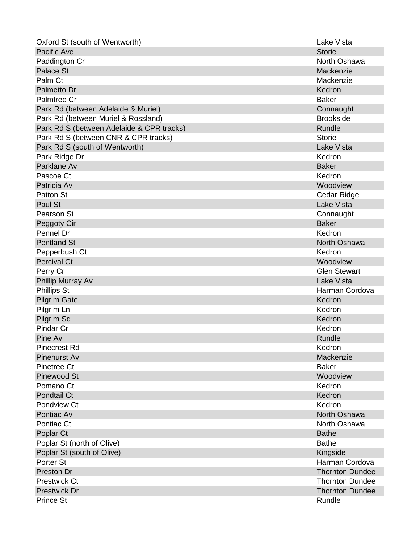| Oxford St (south of Wentworth)            | Lake Vista             |
|-------------------------------------------|------------------------|
| Pacific Ave                               | <b>Storie</b>          |
| Paddington Cr                             | North Oshawa           |
| Palace St                                 | Mackenzie              |
| Palm Ct                                   | Mackenzie              |
| Palmetto Dr                               | Kedron                 |
| Palmtree Cr                               | <b>Baker</b>           |
| Park Rd (between Adelaide & Muriel)       | Connaught              |
| Park Rd (between Muriel & Rossland)       | <b>Brookside</b>       |
| Park Rd S (between Adelaide & CPR tracks) | Rundle                 |
| Park Rd S (between CNR & CPR tracks)      | <b>Storie</b>          |
| Park Rd S (south of Wentworth)            | <b>Lake Vista</b>      |
| Park Ridge Dr                             | Kedron                 |
| Parklane Av                               | <b>Baker</b>           |
| Pascoe Ct                                 | Kedron                 |
| Patricia Av                               | Woodview               |
| Patton St                                 | Cedar Ridge            |
| Paul St                                   | Lake Vista             |
| Pearson St                                | Connaught              |
| Peggoty Cir                               | <b>Baker</b>           |
| Pennel Dr                                 | Kedron                 |
| <b>Pentland St</b>                        | North Oshawa           |
| Pepperbush Ct                             | Kedron                 |
| <b>Percival Ct</b>                        | Woodview               |
| Perry Cr                                  | <b>Glen Stewart</b>    |
| Phillip Murray Av                         | <b>Lake Vista</b>      |
| <b>Phillips St</b>                        | Harman Cordova         |
| <b>Pilgrim Gate</b>                       | Kedron                 |
| Pilgrim Ln                                | Kedron                 |
| Pilgrim Sq                                | Kedron                 |
| Pindar Cr                                 | Kedron                 |
| Pine Av                                   | Rundle                 |
| <b>Pinecrest Rd</b>                       | Kedron                 |
| Pinehurst Av                              | Mackenzie              |
| <b>Pinetree Ct</b>                        | <b>Baker</b>           |
| Pinewood St                               | Woodview               |
| Pomano Ct                                 | Kedron                 |
| <b>Pondtail Ct</b>                        | Kedron                 |
| Pondview Ct                               | Kedron                 |
| Pontiac Av                                | North Oshawa           |
| Pontiac Ct                                | North Oshawa           |
| Poplar Ct                                 | <b>Bathe</b>           |
| Poplar St (north of Olive)                | <b>Bathe</b>           |
| Poplar St (south of Olive)                | Kingside               |
| Porter St                                 | Harman Cordova         |
| Preston Dr                                | <b>Thornton Dundee</b> |
| <b>Prestwick Ct</b>                       | <b>Thornton Dundee</b> |
| <b>Prestwick Dr</b>                       | <b>Thornton Dundee</b> |
| <b>Prince St</b>                          | Rundle                 |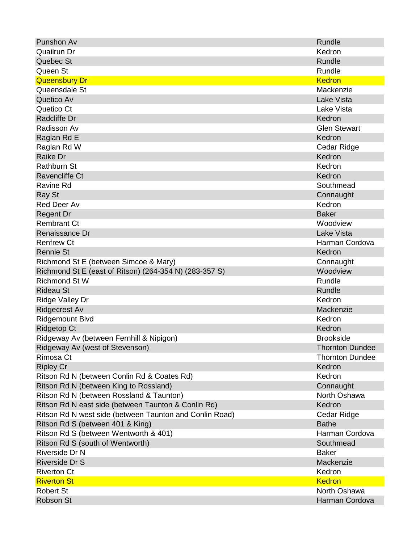| Punshon Av                                              | Rundle                 |
|---------------------------------------------------------|------------------------|
| Quailrun Dr                                             | Kedron                 |
| Quebec St                                               | Rundle                 |
| Queen St                                                | Rundle                 |
| <b>Queensbury Dr</b>                                    | <b>Kedron</b>          |
| Queensdale St                                           | Mackenzie              |
| Quetico Av                                              | <b>Lake Vista</b>      |
| Quetico Ct                                              | Lake Vista             |
| Radcliffe Dr                                            | Kedron                 |
| Radisson Av                                             | <b>Glen Stewart</b>    |
| Raglan Rd E                                             | Kedron                 |
| Raglan Rd W                                             | Cedar Ridge            |
| Raike Dr                                                | Kedron                 |
| <b>Rathburn St</b>                                      | Kedron                 |
| Ravencliffe Ct                                          | Kedron                 |
| <b>Ravine Rd</b>                                        | Southmead              |
| Ray St                                                  | Connaught              |
| <b>Red Deer Av</b>                                      | Kedron                 |
| <b>Regent Dr</b>                                        | <b>Baker</b>           |
| <b>Rembrant Ct</b>                                      | Woodview               |
| Renaissance Dr                                          | <b>Lake Vista</b>      |
| <b>Renfrew Ct</b>                                       | Harman Cordova         |
| <b>Rennie St</b>                                        | Kedron                 |
| Richmond St E (between Simcoe & Mary)                   | Connaught              |
| Richmond St E (east of Ritson) (264-354 N) (283-357 S)  | Woodview               |
| <b>Richmond St W</b>                                    | Rundle                 |
| <b>Rideau St</b>                                        | Rundle                 |
| Ridge Valley Dr                                         | Kedron                 |
| <b>Ridgecrest Av</b>                                    | Mackenzie              |
| <b>Ridgemount Blvd</b>                                  | Kedron                 |
| <b>Ridgetop Ct</b>                                      | Kedron                 |
| Ridgeway Av (between Fernhill & Nipigon)                | <b>Brookside</b>       |
| Ridgeway Av (west of Stevenson)                         | <b>Thornton Dundee</b> |
| Rimosa Ct                                               | <b>Thornton Dundee</b> |
| <b>Ripley Cr</b>                                        | Kedron                 |
| Ritson Rd N (between Conlin Rd & Coates Rd)             | Kedron                 |
| Ritson Rd N (between King to Rossland)                  | Connaught              |
| Ritson Rd N (between Rossland & Taunton)                | North Oshawa           |
| Ritson Rd N east side (between Taunton & Conlin Rd)     | Kedron                 |
| Ritson Rd N west side (between Taunton and Conlin Road) | Cedar Ridge            |
| Ritson Rd S (between 401 & King)                        | <b>Bathe</b>           |
| Ritson Rd S (between Wentworth & 401)                   | Harman Cordova         |
| Ritson Rd S (south of Wentworth)                        | Southmead              |
| Riverside Dr N                                          | <b>Baker</b>           |
| Riverside Dr S                                          | Mackenzie              |
| <b>Riverton Ct</b>                                      | Kedron                 |
| <b>Riverton St</b>                                      | <b>Kedron</b>          |
| <b>Robert St</b>                                        | North Oshawa           |
| <b>Robson St</b>                                        | Harman Cordova         |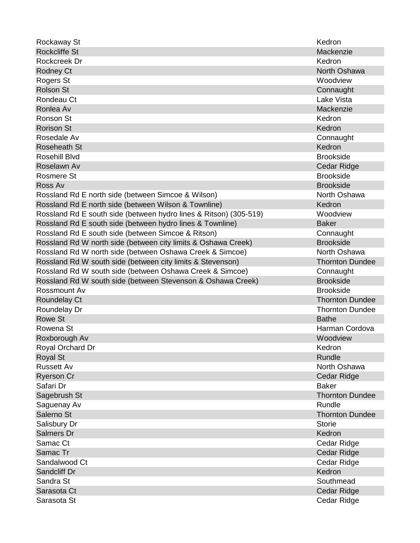| Rockaway St                                                       | Kedron                 |
|-------------------------------------------------------------------|------------------------|
| <b>Rockcliffe St</b>                                              | Mackenzie              |
| Rockcreek Dr                                                      | Kedron                 |
| <b>Rodney Ct</b>                                                  | North Oshawa           |
| Rogers St                                                         | Woodview               |
| <b>Rolson St</b>                                                  | Connaught              |
| Rondeau Ct                                                        | Lake Vista             |
| Ronlea Av                                                         | Mackenzie              |
| Ronson St                                                         | Kedron                 |
| <b>Rorison St</b>                                                 | Kedron                 |
| Rosedale Av                                                       | Connaught              |
| <b>Roseheath St</b>                                               | Kedron                 |
| Rosehill Blvd                                                     | <b>Brookside</b>       |
| Roselawn Av                                                       | Cedar Ridge            |
| <b>Rosmere St</b>                                                 | <b>Brookside</b>       |
| Ross Av                                                           | <b>Brookside</b>       |
| Rossland Rd E north side (between Simcoe & Wilson)                | North Oshawa           |
| Rossland Rd E north side (between Wilson & Townline)              | Kedron                 |
| Rossland Rd E south side (between hydro lines & Ritson) (305-519) | Woodview               |
| Rossland Rd E south side (between hydro lines & Townline)         | <b>Baker</b>           |
| Rossland Rd E south side (between Simcoe & Ritson)                | Connaught              |
| Rossland Rd W north side (between city limits & Oshawa Creek)     | <b>Brookside</b>       |
| Rossland Rd W north side (between Oshawa Creek & Simcoe)          | North Oshawa           |
| Rossland Rd W south side (between city limits & Stevenson)        | <b>Thornton Dundee</b> |
| Rossland Rd W south side (between Oshawa Creek & Simcoe)          | Connaught              |
| Rossland Rd W south side (between Stevenson & Oshawa Creek)       | <b>Brookside</b>       |
| Rossmount Av                                                      | <b>Brookside</b>       |
| Roundelay Ct                                                      | <b>Thornton Dundee</b> |
| Roundelay Dr                                                      | <b>Thornton Dundee</b> |
| <b>Rowe St</b>                                                    | <b>Bathe</b>           |
| Rowena St                                                         | Harman Cordova         |
| Roxborough Av                                                     | Woodview               |
| Royal Orchard Dr                                                  | Kedron                 |
| <b>Royal St</b>                                                   | Rundle                 |
| <b>Russett Av</b>                                                 | North Oshawa           |
| <b>Ryerson Cr</b>                                                 | Cedar Ridge            |
| Safari Dr                                                         | <b>Baker</b>           |
| Sagebrush St                                                      | <b>Thornton Dundee</b> |
| Saguenay Av                                                       | Rundle                 |
| Salerno St                                                        | <b>Thornton Dundee</b> |
| Salisbury Dr                                                      | <b>Storie</b>          |
| Salmers Dr                                                        | Kedron                 |
| Samac Ct                                                          | Cedar Ridge            |
| Samac Tr                                                          | Cedar Ridge            |
| Sandalwood Ct                                                     | Cedar Ridge            |
| Sandcliff Dr                                                      | Kedron                 |
| Sandra St                                                         | Southmead              |
| Sarasota Ct                                                       | Cedar Ridge            |
| Sarasota St                                                       | Cedar Ridge            |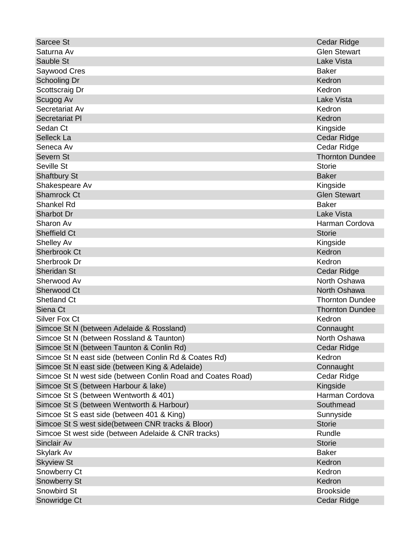| <b>Sarcee St</b>                                            | <b>Cedar Ridge</b>     |
|-------------------------------------------------------------|------------------------|
| Saturna Av                                                  | <b>Glen Stewart</b>    |
| Sauble St                                                   | <b>Lake Vista</b>      |
| Saywood Cres                                                | <b>Baker</b>           |
| <b>Schooling Dr</b>                                         | Kedron                 |
| Scottscraig Dr                                              | Kedron                 |
| Scugog Av                                                   | <b>Lake Vista</b>      |
| Secretariat Av                                              | Kedron                 |
| <b>Secretariat PI</b>                                       | Kedron                 |
| Sedan Ct                                                    | Kingside               |
| Selleck La                                                  | Cedar Ridge            |
| Seneca Av                                                   | Cedar Ridge            |
| Severn St                                                   | <b>Thornton Dundee</b> |
| Seville St                                                  | <b>Storie</b>          |
| <b>Shaftbury St</b>                                         | <b>Baker</b>           |
| Shakespeare Av                                              | Kingside               |
| <b>Shamrock Ct</b>                                          | <b>Glen Stewart</b>    |
| <b>Shankel Rd</b>                                           | <b>Baker</b>           |
| Sharbot Dr                                                  | <b>Lake Vista</b>      |
| Sharon Av                                                   | Harman Cordova         |
| <b>Sheffield Ct</b>                                         | <b>Storie</b>          |
| <b>Shelley Av</b>                                           | Kingside               |
| <b>Sherbrook Ct</b>                                         | Kedron                 |
| Sherbrook Dr                                                | Kedron                 |
| <b>Sheridan St</b>                                          | Cedar Ridge            |
| Sherwood Av                                                 | North Oshawa           |
| Sherwood Ct                                                 | North Oshawa           |
| <b>Shetland Ct</b>                                          | <b>Thornton Dundee</b> |
| Siena Ct                                                    | <b>Thornton Dundee</b> |
| <b>Silver Fox Ct</b>                                        | Kedron                 |
| Simcoe St N (between Adelaide & Rossland)                   | Connaught              |
| Simcoe St N (between Rossland & Taunton)                    | North Oshawa           |
| Simcoe St N (between Taunton & Conlin Rd)                   | <b>Cedar Ridge</b>     |
| Simcoe St N east side (between Conlin Rd & Coates Rd)       | Kedron                 |
| Simcoe St N east side (between King & Adelaide)             | Connaught              |
| Simcoe St N west side (between Conlin Road and Coates Road) | Cedar Ridge            |
| Simcoe St S (between Harbour & lake)                        | Kingside               |
| Simcoe St S (between Wentworth & 401)                       | Harman Cordova         |
| Simcoe St S (between Wentworth & Harbour)                   | Southmead              |
| Simcoe St S east side (between 401 & King)                  | Sunnyside              |
| Simcoe St S west side(between CNR tracks & Bloor)           | <b>Storie</b>          |
| Simcoe St west side (between Adelaide & CNR tracks)         | Rundle                 |
| Sinclair Av                                                 | <b>Storie</b>          |
| <b>Skylark Av</b>                                           | <b>Baker</b>           |
| <b>Skyview St</b>                                           | Kedron                 |
| Snowberry Ct                                                | Kedron                 |
| <b>Snowberry St</b>                                         | Kedron                 |
| Snowbird St                                                 | <b>Brookside</b>       |
| Snowridge Ct                                                | Cedar Ridge            |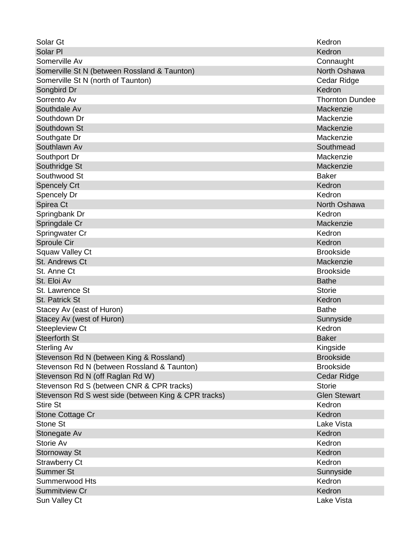| Solar Gt                                             | Kedron                 |
|------------------------------------------------------|------------------------|
| Solar PI                                             | Kedron                 |
| Somerville Av                                        | Connaught              |
| Somerville St N (between Rossland & Taunton)         | North Oshawa           |
| Somerville St N (north of Taunton)                   | Cedar Ridge            |
| Songbird Dr                                          | Kedron                 |
| Sorrento Av                                          | <b>Thornton Dundee</b> |
| Southdale Av                                         | Mackenzie              |
| Southdown Dr                                         | Mackenzie              |
| Southdown St                                         | Mackenzie              |
| Southgate Dr                                         | Mackenzie              |
| Southlawn Av                                         | Southmead              |
| Southport Dr                                         | Mackenzie              |
| Southridge St                                        | Mackenzie              |
| Southwood St                                         | <b>Baker</b>           |
| <b>Spencely Crt</b>                                  | Kedron                 |
| Spencely Dr                                          | Kedron                 |
| Spirea Ct                                            | North Oshawa           |
| Springbank Dr                                        | Kedron                 |
| Springdale Cr                                        | Mackenzie              |
| Springwater Cr                                       | Kedron                 |
| Sproule Cir                                          | Kedron                 |
| <b>Squaw Valley Ct</b>                               | <b>Brookside</b>       |
| St. Andrews Ct                                       | Mackenzie              |
| St. Anne Ct.                                         | <b>Brookside</b>       |
| St. Eloi Av                                          | <b>Bathe</b>           |
| St. Lawrence St                                      | <b>Storie</b>          |
| St. Patrick St                                       | Kedron                 |
| Stacey Av (east of Huron)                            | <b>Bathe</b>           |
| Stacey Av (west of Huron)                            | Sunnyside              |
| <b>Steepleview Ct</b>                                | Kedron                 |
| <b>Steerforth St</b>                                 | <b>Baker</b>           |
| <b>Sterling Av</b>                                   | Kingside               |
| Stevenson Rd N (between King & Rossland)             | <b>Brookside</b>       |
| Stevenson Rd N (between Rossland & Taunton)          | <b>Brookside</b>       |
| Stevenson Rd N (off Raglan Rd W)                     | Cedar Ridge            |
| Stevenson Rd S (between CNR & CPR tracks)            | <b>Storie</b>          |
| Stevenson Rd S west side (between King & CPR tracks) | <b>Glen Stewart</b>    |
| <b>Stire St</b>                                      | Kedron                 |
| Stone Cottage Cr                                     | Kedron                 |
| Stone St                                             | Lake Vista             |
| Stonegate Av                                         | Kedron                 |
| Storie Av                                            | Kedron                 |
| <b>Stornoway St</b>                                  | Kedron                 |
| <b>Strawberry Ct</b>                                 | Kedron                 |
| <b>Summer St</b>                                     | Sunnyside              |
| Summerwood Hts                                       | Kedron                 |
| <b>Summitview Cr</b>                                 | Kedron                 |
| Sun Valley Ct                                        | Lake Vista             |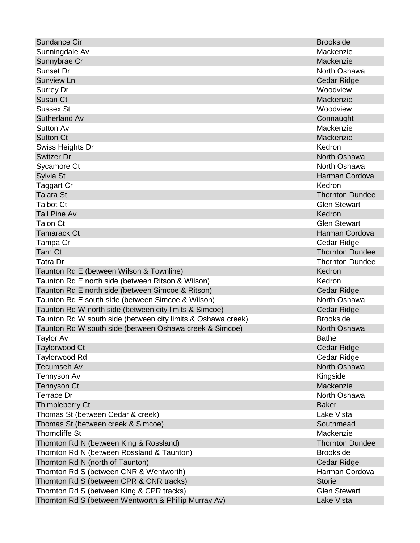| Sundance Cir                                                 | <b>Brookside</b>       |
|--------------------------------------------------------------|------------------------|
| Sunningdale Av                                               | Mackenzie              |
| Sunnybrae Cr                                                 | Mackenzie              |
| <b>Sunset Dr</b>                                             | North Oshawa           |
| <b>Sunview Ln</b>                                            | Cedar Ridge            |
| <b>Surrey Dr</b>                                             | Woodview               |
| Susan Ct                                                     | Mackenzie              |
| <b>Sussex St</b>                                             | Woodview               |
| Sutherland Av                                                | Connaught              |
| <b>Sutton Av</b>                                             | Mackenzie              |
| <b>Sutton Ct</b>                                             | Mackenzie              |
| Swiss Heights Dr                                             | Kedron                 |
| Switzer Dr                                                   | North Oshawa           |
| Sycamore Ct                                                  | North Oshawa           |
| Sylvia St                                                    | Harman Cordova         |
| Taggart Cr                                                   | Kedron                 |
| <b>Talara St</b>                                             | <b>Thornton Dundee</b> |
| <b>Talbot Ct</b>                                             | <b>Glen Stewart</b>    |
| <b>Tall Pine Av</b>                                          | Kedron                 |
| Talon Ct                                                     | <b>Glen Stewart</b>    |
| <b>Tamarack Ct</b>                                           | Harman Cordova         |
| Tampa Cr                                                     | Cedar Ridge            |
| <b>Tarn Ct</b>                                               | <b>Thornton Dundee</b> |
| Tatra Dr                                                     | <b>Thornton Dundee</b> |
| Taunton Rd E (between Wilson & Townline)                     | Kedron                 |
| Taunton Rd E north side (between Ritson & Wilson)            | Kedron                 |
| Taunton Rd E north side (between Simcoe & Ritson)            | Cedar Ridge            |
| Taunton Rd E south side (between Simcoe & Wilson)            | North Oshawa           |
| Taunton Rd W north side (between city limits & Simcoe)       | Cedar Ridge            |
| Taunton Rd W south side (between city limits & Oshawa creek) | <b>Brookside</b>       |
| Taunton Rd W south side (between Oshawa creek & Simcoe)      | North Oshawa           |
| <b>Taylor Av</b>                                             | <b>Bathe</b>           |
| <b>Taylorwood Ct</b>                                         | Cedar Ridge            |
| Taylorwood Rd                                                | Cedar Ridge            |
| <b>Tecumseh Av</b>                                           | North Oshawa           |
| Tennyson Av                                                  | Kingside               |
| <b>Tennyson Ct</b>                                           | Mackenzie              |
| <b>Terrace Dr</b>                                            | North Oshawa           |
| <b>Thimbleberry Ct</b>                                       | <b>Baker</b>           |
| Thomas St (between Cedar & creek)                            | Lake Vista             |
| Thomas St (between creek & Simcoe)                           | Southmead              |
| <b>Thorncliffe St</b>                                        | Mackenzie              |
| Thornton Rd N (between King & Rossland)                      | <b>Thornton Dundee</b> |
| Thornton Rd N (between Rossland & Taunton)                   | <b>Brookside</b>       |
| Thornton Rd N (north of Taunton)                             | Cedar Ridge            |
| Thornton Rd S (between CNR & Wentworth)                      | Harman Cordova         |
| Thornton Rd S (between CPR & CNR tracks)                     | <b>Storie</b>          |
| Thornton Rd S (between King & CPR tracks)                    | <b>Glen Stewart</b>    |
| Thornton Rd S (between Wentworth & Phillip Murray Av)        | <b>Lake Vista</b>      |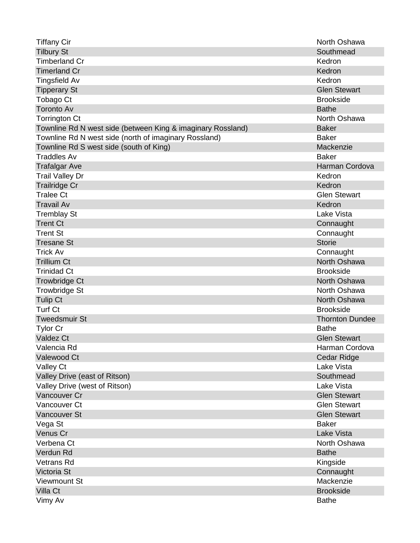| <b>Tiffany Cir</b>                                          | North Oshawa           |
|-------------------------------------------------------------|------------------------|
| <b>Tilbury St</b>                                           | Southmead              |
| <b>Timberland Cr</b>                                        | Kedron                 |
| <b>Timerland Cr</b>                                         | Kedron                 |
| <b>Tingsfield Av</b>                                        | Kedron                 |
| <b>Tipperary St</b>                                         | <b>Glen Stewart</b>    |
| Tobago Ct                                                   | <b>Brookside</b>       |
| <b>Toronto Av</b>                                           | <b>Bathe</b>           |
| <b>Torrington Ct</b>                                        | North Oshawa           |
| Townline Rd N west side (between King & imaginary Rossland) | <b>Baker</b>           |
| Townline Rd N west side (north of imaginary Rossland)       | <b>Baker</b>           |
| Townline Rd S west side (south of King)                     | Mackenzie              |
| <b>Traddles Av</b>                                          | <b>Baker</b>           |
| <b>Trafalgar Ave</b>                                        | Harman Cordova         |
| <b>Trail Valley Dr</b>                                      | Kedron                 |
| <b>Trailridge Cr</b>                                        | Kedron                 |
| <b>Tralee Ct</b>                                            | <b>Glen Stewart</b>    |
| <b>Travail Av</b>                                           | Kedron                 |
| <b>Tremblay St</b>                                          | Lake Vista             |
| <b>Trent Ct</b>                                             | Connaught              |
| <b>Trent St</b>                                             | Connaught              |
| <b>Tresane St</b>                                           | <b>Storie</b>          |
| <b>Trick Av</b>                                             | Connaught              |
| <b>Trillium Ct</b>                                          | North Oshawa           |
| <b>Trinidad Ct</b>                                          | <b>Brookside</b>       |
| <b>Trowbridge Ct</b>                                        | North Oshawa           |
| <b>Trowbridge St</b>                                        | North Oshawa           |
| <b>Tulip Ct</b>                                             | North Oshawa           |
| <b>Turf Ct</b>                                              | <b>Brookside</b>       |
| <b>Tweedsmuir St</b>                                        | <b>Thornton Dundee</b> |
| <b>Tylor Cr</b>                                             | <b>Bathe</b>           |
| <b>Valdez Ct</b>                                            | <b>Glen Stewart</b>    |
| Valencia Rd                                                 | Harman Cordova         |
| Valewood Ct                                                 | <b>Cedar Ridge</b>     |
| Valley Ct                                                   | Lake Vista             |
| Valley Drive (east of Ritson)                               | Southmead              |
| Valley Drive (west of Ritson)                               | Lake Vista             |
| Vancouver Cr                                                | <b>Glen Stewart</b>    |
| Vancouver Ct                                                | <b>Glen Stewart</b>    |
| <b>Vancouver St</b>                                         | <b>Glen Stewart</b>    |
| Vega St                                                     | <b>Baker</b>           |
| Venus Cr                                                    | <b>Lake Vista</b>      |
| Verbena Ct                                                  | North Oshawa           |
| Verdun Rd                                                   | <b>Bathe</b>           |
| <b>Vetrans Rd</b>                                           | Kingside               |
| Victoria St                                                 | Connaught              |
| <b>Viewmount St</b>                                         | Mackenzie              |
| Villa Ct                                                    | <b>Brookside</b>       |
| Vimy Av                                                     | <b>Bathe</b>           |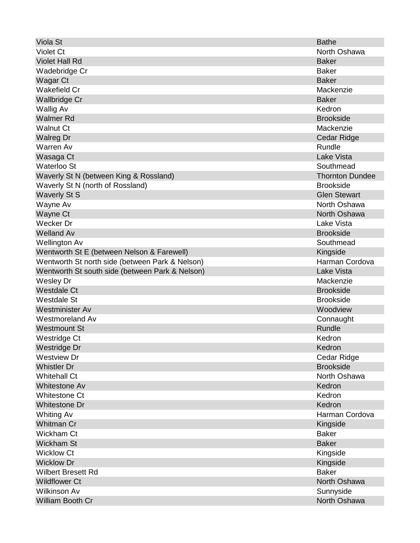| Viola St                                        | <b>Bathe</b>           |
|-------------------------------------------------|------------------------|
| <b>Violet Ct</b>                                | North Oshawa           |
| <b>Violet Hall Rd</b>                           | <b>Baker</b>           |
| Wadebridge Cr                                   | <b>Baker</b>           |
| Wagar Ct                                        | <b>Baker</b>           |
| <b>Wakefield Cr</b>                             | Mackenzie              |
| <b>Wallbridge Cr</b>                            | <b>Baker</b>           |
| <b>Wallig Av</b>                                | Kedron                 |
| <b>Walmer Rd</b>                                | <b>Brookside</b>       |
| <b>Walnut Ct</b>                                | Mackenzie              |
| <b>Walreg Dr</b>                                | Cedar Ridge            |
| <b>Warren Av</b>                                | Rundle                 |
| Wasaga Ct                                       | <b>Lake Vista</b>      |
| <b>Waterloo St</b>                              | Southmead              |
| Waverly St N (between King & Rossland)          | <b>Thornton Dundee</b> |
| Waverly St N (north of Rossland)                | <b>Brookside</b>       |
| <b>Waverly St S</b>                             | <b>Glen Stewart</b>    |
| Wayne Av                                        | North Oshawa           |
| Wayne Ct                                        | North Oshawa           |
| Wecker Dr                                       | Lake Vista             |
| <b>Welland Av</b>                               | <b>Brookside</b>       |
| <b>Wellington Av</b>                            | Southmead              |
| Wentworth St E (between Nelson & Farewell)      | Kingside               |
| Wentworth St north side (between Park & Nelson) | Harman Cordova         |
| Wentworth St south side (between Park & Nelson) | <b>Lake Vista</b>      |
| <b>Wesley Dr</b>                                | Mackenzie              |
| <b>Westdale Ct</b>                              | <b>Brookside</b>       |
| <b>Westdale St</b>                              | <b>Brookside</b>       |
| <b>Westminister Av</b>                          | Woodview               |
| <b>Westmoreland Av</b>                          | Connaught              |
| <b>Westmount St</b>                             | Rundle                 |
| Westridge Ct                                    | Kedron                 |
| Westridge Dr                                    | Kedron                 |
| <b>Westview Dr</b>                              | Cedar Ridge            |
| <b>Whistler Dr</b>                              | <b>Brookside</b>       |
| <b>Whitehall Ct</b>                             | North Oshawa           |
| <b>Whitestone Av</b>                            | Kedron                 |
| <b>Whitestone Ct</b>                            | Kedron                 |
| <b>Whitestone Dr</b>                            | Kedron                 |
| <b>Whiting Av</b>                               | Harman Cordova         |
| <b>Whitman Cr</b>                               | Kingside               |
| Wickham Ct                                      | <b>Baker</b>           |
| <b>Wickham St</b>                               | <b>Baker</b>           |
| <b>Wicklow Ct</b>                               | Kingside               |
| <b>Wicklow Dr</b>                               | Kingside               |
| <b>Wilbert Bresett Rd</b>                       | <b>Baker</b>           |
| <b>Wildflower Ct</b>                            | North Oshawa           |
| <b>Wilkinson Av</b>                             | Sunnyside              |
| William Booth Cr                                | North Oshawa           |